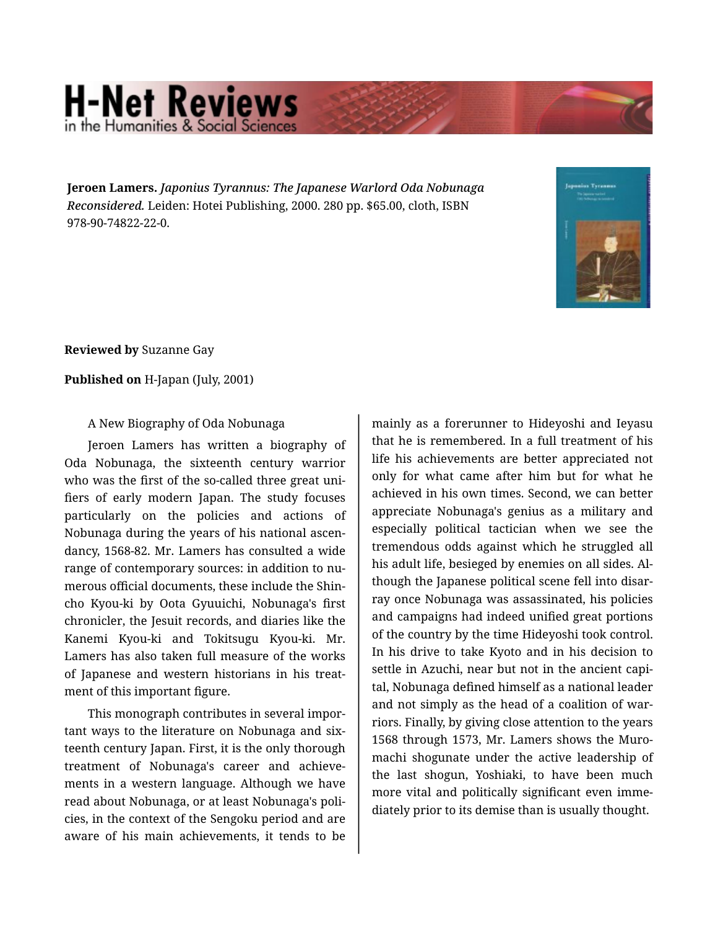## **H-Net Reviews** in the Humanities & Social S

**Jeroen Lamers.** *Japonius Tyrannus: The Japanese Warlord Oda Nobunaga Reconsidered.* Leiden: Hotei Publishing, 2000. 280 pp. \$65.00, cloth, ISBN 978-90-74822-22-0.



**Reviewed by** Suzanne Gay

## **Published on** H-Japan (July, 2001)

A New Biography of Oda Nobunaga

Jeroen Lamers has written a biography of Oda Nobunaga, the sixteenth century warrior who was the first of the so-called three great unifiers of early modern Japan. The study focuses particularly on the policies and actions of Nobunaga during the years of his national ascen‐ dancy, 1568-82. Mr. Lamers has consulted a wide range of contemporary sources: in addition to nu‐ merous official documents, these include the Shin‐ cho Kyou-ki by Oota Gyuuichi, Nobunaga's first chronicler, the Jesuit records, and diaries like the Kanemi Kyou-ki and Tokitsugu Kyou-ki. Mr. Lamers has also taken full measure of the works of Japanese and western historians in his treat‐ ment of this important figure.

This monograph contributes in several impor‐ tant ways to the literature on Nobunaga and six‐ teenth century Japan. First, it is the only thorough treatment of Nobunaga's career and achieve‐ ments in a western language. Although we have read about Nobunaga, or at least Nobunaga's poli‐ cies, in the context of the Sengoku period and are aware of his main achievements, it tends to be

mainly as a forerunner to Hideyoshi and Ieyasu that he is remembered. In a full treatment of his life his achievements are better appreciated not only for what came after him but for what he achieved in his own times. Second, we can better appreciate Nobunaga's genius as a military and especially political tactician when we see the tremendous odds against which he struggled all his adult life, besieged by enemies on all sides. Al‐ though the Japanese political scene fell into disar‐ ray once Nobunaga was assassinated, his policies and campaigns had indeed unified great portions of the country by the time Hideyoshi took control. In his drive to take Kyoto and in his decision to settle in Azuchi, near but not in the ancient capi‐ tal, Nobunaga defined himself as a national leader and not simply as the head of a coalition of war‐ riors. Finally, by giving close attention to the years 1568 through 1573, Mr. Lamers shows the Muro‐ machi shogunate under the active leadership of the last shogun, Yoshiaki, to have been much more vital and politically significant even imme‐ diately prior to its demise than is usually thought.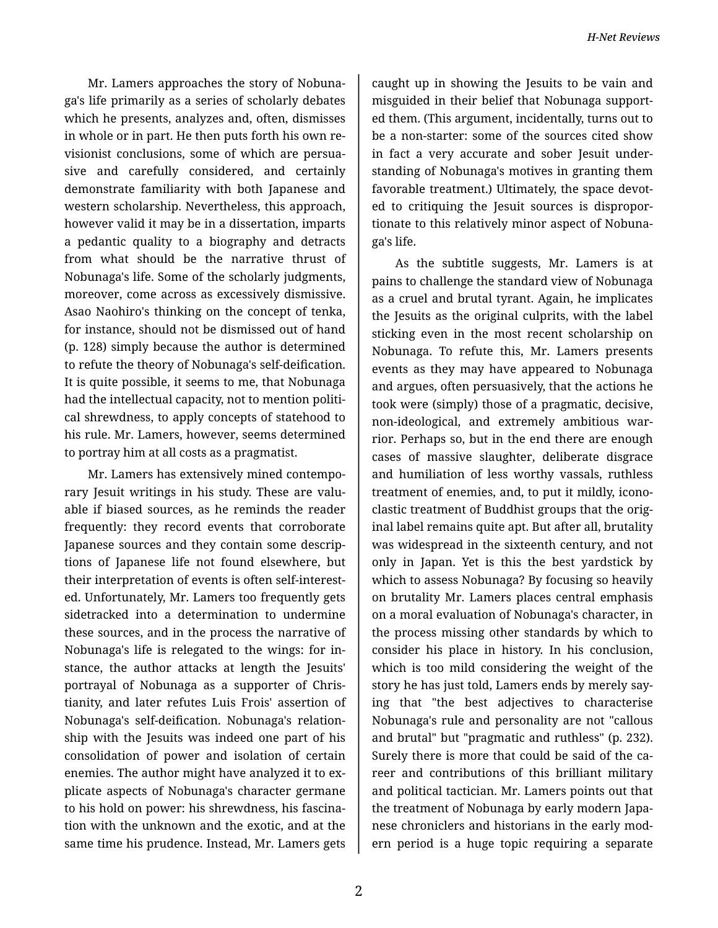Mr. Lamers approaches the story of Nobuna‐ ga's life primarily as a series of scholarly debates which he presents, analyzes and, often, dismisses in whole or in part. He then puts forth his own re‐ visionist conclusions, some of which are persua‐ sive and carefully considered, and certainly demonstrate familiarity with both Japanese and western scholarship. Nevertheless, this approach, however valid it may be in a dissertation, imparts a pedantic quality to a biography and detracts from what should be the narrative thrust of Nobunaga's life. Some of the scholarly judgments, moreover, come across as excessively dismissive. Asao Naohiro's thinking on the concept of tenka, for instance, should not be dismissed out of hand (p. 128) simply because the author is determined to refute the theory of Nobunaga's self-deification. It is quite possible, it seems to me, that Nobunaga had the intellectual capacity, not to mention political shrewdness, to apply concepts of statehood to his rule. Mr. Lamers, however, seems determined to portray him at all costs as a pragmatist.

Mr. Lamers has extensively mined contempo‐ rary Jesuit writings in his study. These are valu‐ able if biased sources, as he reminds the reader frequently: they record events that corroborate Japanese sources and they contain some descrip‐ tions of Japanese life not found elsewhere, but their interpretation of events is often self-interest‐ ed. Unfortunately, Mr. Lamers too frequently gets sidetracked into a determination to undermine these sources, and in the process the narrative of Nobunaga's life is relegated to the wings: for in‐ stance, the author attacks at length the Jesuits' portrayal of Nobunaga as a supporter of Chris‐ tianity, and later refutes Luis Frois' assertion of Nobunaga's self-deification. Nobunaga's relation‐ ship with the Jesuits was indeed one part of his consolidation of power and isolation of certain enemies. The author might have analyzed it to ex‐ plicate aspects of Nobunaga's character germane to his hold on power: his shrewdness, his fascina‐ tion with the unknown and the exotic, and at the same time his prudence. Instead, Mr. Lamers gets

caught up in showing the Jesuits to be vain and misguided in their belief that Nobunaga support‐ ed them. (This argument, incidentally, turns out to be a non-starter: some of the sources cited show in fact a very accurate and sober Jesuit under‐ standing of Nobunaga's motives in granting them favorable treatment.) Ultimately, the space devoted to critiquing the Jesuit sources is dispropor‐ tionate to this relatively minor aspect of Nobuna‐ ga's life.

As the subtitle suggests, Mr. Lamers is at pains to challenge the standard view of Nobunaga as a cruel and brutal tyrant. Again, he implicates the Jesuits as the original culprits, with the label sticking even in the most recent scholarship on Nobunaga. To refute this, Mr. Lamers presents events as they may have appeared to Nobunaga and argues, often persuasively, that the actions he took were (simply) those of a pragmatic, decisive, non-ideological, and extremely ambitious war‐ rior. Perhaps so, but in the end there are enough cases of massive slaughter, deliberate disgrace and humiliation of less worthy vassals, ruthless treatment of enemies, and, to put it mildly, icono‐ clastic treatment of Buddhist groups that the orig‐ inal label remains quite apt. But after all, brutality was widespread in the sixteenth century, and not only in Japan. Yet is this the best yardstick by which to assess Nobunaga? By focusing so heavily on brutality Mr. Lamers places central emphasis on a moral evaluation of Nobunaga's character, in the process missing other standards by which to consider his place in history. In his conclusion, which is too mild considering the weight of the story he has just told, Lamers ends by merely say‐ ing that "the best adjectives to characterise Nobunaga's rule and personality are not "callous and brutal" but "pragmatic and ruthless" (p. 232). Surely there is more that could be said of the career and contributions of this brilliant military and political tactician. Mr. Lamers points out that the treatment of Nobunaga by early modern Japa‐ nese chroniclers and historians in the early mod‐ ern period is a huge topic requiring a separate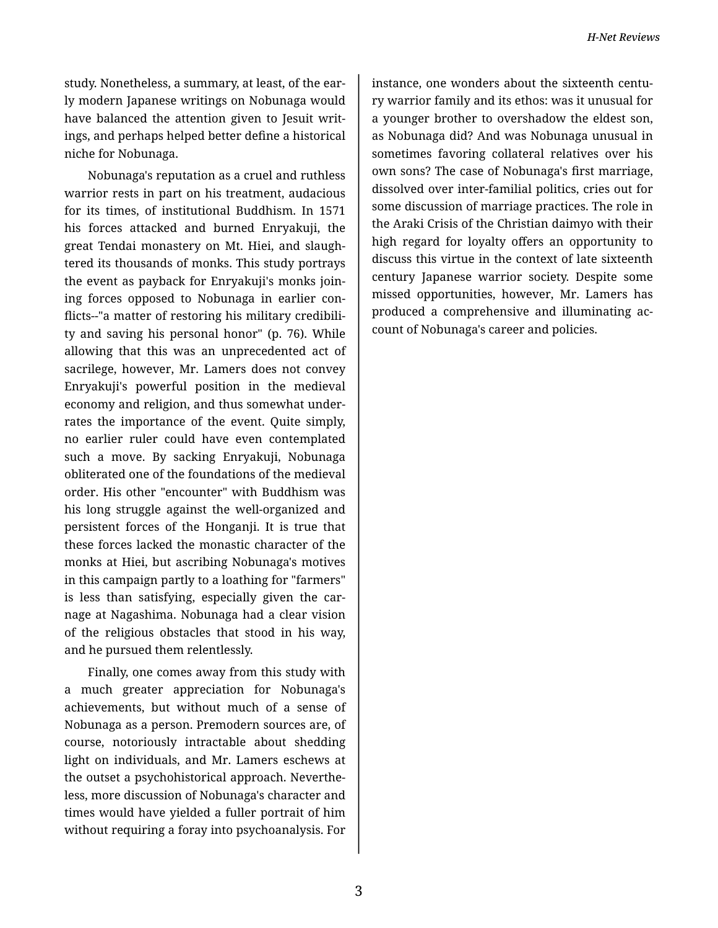study. Nonetheless, a summary, at least, of the ear‐ ly modern Japanese writings on Nobunaga would have balanced the attention given to Jesuit writ‐ ings, and perhaps helped better define a historical niche for Nobunaga.

Nobunaga's reputation as a cruel and ruthless warrior rests in part on his treatment, audacious for its times, of institutional Buddhism. In 1571 his forces attacked and burned Enryakuji, the great Tendai monastery on Mt. Hiei, and slaugh‐ tered its thousands of monks. This study portrays the event as payback for Enryakuji's monks join‐ ing forces opposed to Nobunaga in earlier con‐ flicts--"a matter of restoring his military credibili‐ ty and saving his personal honor" (p. 76). While allowing that this was an unprecedented act of sacrilege, however, Mr. Lamers does not convey Enryakuji's powerful position in the medieval economy and religion, and thus somewhat under‐ rates the importance of the event. Quite simply, no earlier ruler could have even contemplated such a move. By sacking Enryakuji, Nobunaga obliterated one of the foundations of the medieval order. His other "encounter" with Buddhism was his long struggle against the well-organized and persistent forces of the Honganji. It is true that these forces lacked the monastic character of the monks at Hiei, but ascribing Nobunaga's motives in this campaign partly to a loathing for "farmers" is less than satisfying, especially given the carnage at Nagashima. Nobunaga had a clear vision of the religious obstacles that stood in his way, and he pursued them relentlessly.

Finally, one comes away from this study with a much greater appreciation for Nobunaga's achievements, but without much of a sense of Nobunaga as a person. Premodern sources are, of course, notoriously intractable about shedding light on individuals, and Mr. Lamers eschews at the outset a psychohistorical approach. Neverthe‐ less, more discussion of Nobunaga's character and times would have yielded a fuller portrait of him without requiring a foray into psychoanalysis. For

instance, one wonders about the sixteenth centu‐ ry warrior family and its ethos: was it unusual for a younger brother to overshadow the eldest son, as Nobunaga did? And was Nobunaga unusual in sometimes favoring collateral relatives over his own sons? The case of Nobunaga's first marriage, dissolved over inter-familial politics, cries out for some discussion of marriage practices. The role in the Araki Crisis of the Christian daimyo with their high regard for loyalty offers an opportunity to discuss this virtue in the context of late sixteenth century Japanese warrior society. Despite some missed opportunities, however, Mr. Lamers has produced a comprehensive and illuminating ac‐ count of Nobunaga's career and policies.